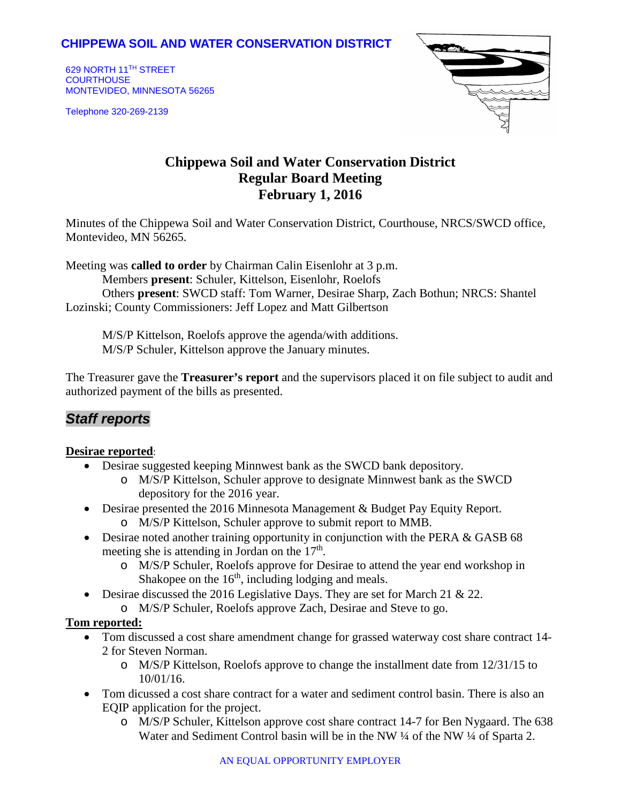## **CHIPPEWA SOIL AND WATER CONSERVATION DISTRICT**

629 NORTH 11TH STREET **COURTHOUSE** MONTEVIDEO, MINNESOTA 56265

Telephone 320-269-2139



# **Chippewa Soil and Water Conservation District Regular Board Meeting February 1, 2016**

Minutes of the Chippewa Soil and Water Conservation District, Courthouse, NRCS/SWCD office, Montevideo, MN 56265.

Meeting was **called to order** by Chairman Calin Eisenlohr at 3 p.m.

Members **present**: Schuler, Kittelson, Eisenlohr, Roelofs

Others **present**: SWCD staff: Tom Warner, Desirae Sharp, Zach Bothun; NRCS: Shantel Lozinski; County Commissioners: Jeff Lopez and Matt Gilbertson

M/S/P Kittelson, Roelofs approve the agenda/with additions. M/S/P Schuler, Kittelson approve the January minutes.

The Treasurer gave the **Treasurer's report** and the supervisors placed it on file subject to audit and authorized payment of the bills as presented.

## *Staff reports*

#### **Desirae reported**:

- Desirae suggested keeping Minnwest bank as the SWCD bank depository.
	- o M/S/P Kittelson, Schuler approve to designate Minnwest bank as the SWCD depository for the 2016 year.
- Desirae presented the 2016 Minnesota Management & Budget Pay Equity Report.
	- o M/S/P Kittelson, Schuler approve to submit report to MMB.
- Desirae noted another training opportunity in conjunction with the PERA & GASB 68 meeting she is attending in Jordan on the  $17<sup>th</sup>$ .
	- o M/S/P Schuler, Roelofs approve for Desirae to attend the year end workshop in Shakopee on the  $16<sup>th</sup>$ , including lodging and meals.
- Desirae discussed the 2016 Legislative Days. They are set for March 21 & 22.
	- o M/S/P Schuler, Roelofs approve Zach, Desirae and Steve to go.

#### **Tom reported:**

- Tom discussed a cost share amendment change for grassed waterway cost share contract 14- 2 for Steven Norman.
	- $\circ$  M/S/P Kittelson, Roelofs approve to change the installment date from 12/31/15 to 10/01/16.
- Tom dicussed a cost share contract for a water and sediment control basin. There is also an EQIP application for the project.
	- o M/S/P Schuler, Kittelson approve cost share contract 14-7 for Ben Nygaard. The 638 Water and Sediment Control basin will be in the NW ¼ of the NW ¼ of Sparta 2.